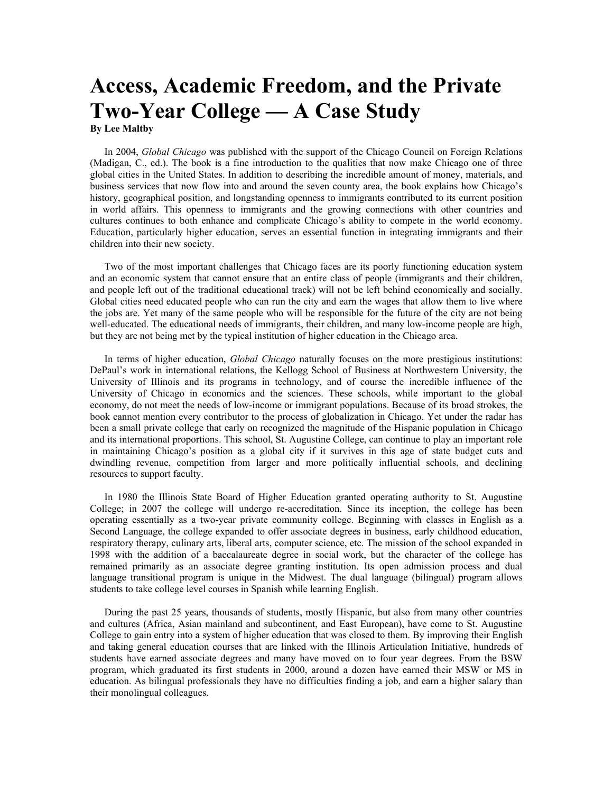## **Access, Academic Freedom, and the Private Two-Year College — A Case Study By Lee Maltby**

In 2004, *Global Chicago* was published with the support of the Chicago Council on Foreign Relations (Madigan, C., ed.). The book is a fine introduction to the qualities that now make Chicago one of three global cities in the United States. In addition to describing the incredible amount of money, materials, and business services that now flow into and around the seven county area, the book explains how Chicago's history, geographical position, and longstanding openness to immigrants contributed to its current position in world affairs. This openness to immigrants and the growing connections with other countries and cultures continues to both enhance and complicate Chicago's ability to compete in the world economy. Education, particularly higher education, serves an essential function in integrating immigrants and their children into their new society.

Two of the most important challenges that Chicago faces are its poorly functioning education system and an economic system that cannot ensure that an entire class of people (immigrants and their children, and people left out of the traditional educational track) will not be left behind economically and socially. Global cities need educated people who can run the city and earn the wages that allow them to live where the jobs are. Yet many of the same people who will be responsible for the future of the city are not being well-educated. The educational needs of immigrants, their children, and many low-income people are high, but they are not being met by the typical institution of higher education in the Chicago area.

In terms of higher education, *Global Chicago* naturally focuses on the more prestigious institutions: DePaul's work in international relations, the Kellogg School of Business at Northwestern University, the University of Illinois and its programs in technology, and of course the incredible influence of the University of Chicago in economics and the sciences. These schools, while important to the global economy, do not meet the needs of low-income or immigrant populations. Because of its broad strokes, the book cannot mention every contributor to the process of globalization in Chicago. Yet under the radar has been a small private college that early on recognized the magnitude of the Hispanic population in Chicago and its international proportions. This school, St. Augustine College, can continue to play an important role in maintaining Chicago's position as a global city if it survives in this age of state budget cuts and dwindling revenue, competition from larger and more politically influential schools, and declining resources to support faculty.

In 1980 the Illinois State Board of Higher Education granted operating authority to St. Augustine College; in 2007 the college will undergo re-accreditation. Since its inception, the college has been operating essentially as a two-year private community college. Beginning with classes in English as a Second Language, the college expanded to offer associate degrees in business, early childhood education, respiratory therapy, culinary arts, liberal arts, computer science, etc. The mission of the school expanded in 1998 with the addition of a baccalaureate degree in social work, but the character of the college has remained primarily as an associate degree granting institution. Its open admission process and dual language transitional program is unique in the Midwest. The dual language (bilingual) program allows students to take college level courses in Spanish while learning English.

During the past 25 years, thousands of students, mostly Hispanic, but also from many other countries and cultures (Africa, Asian mainland and subcontinent, and East European), have come to St. Augustine College to gain entry into a system of higher education that was closed to them. By improving their English and taking general education courses that are linked with the Illinois Articulation Initiative, hundreds of students have earned associate degrees and many have moved on to four year degrees. From the BSW program, which graduated its first students in 2000, around a dozen have earned their MSW or MS in education. As bilingual professionals they have no difficulties finding a job, and earn a higher salary than their monolingual colleagues.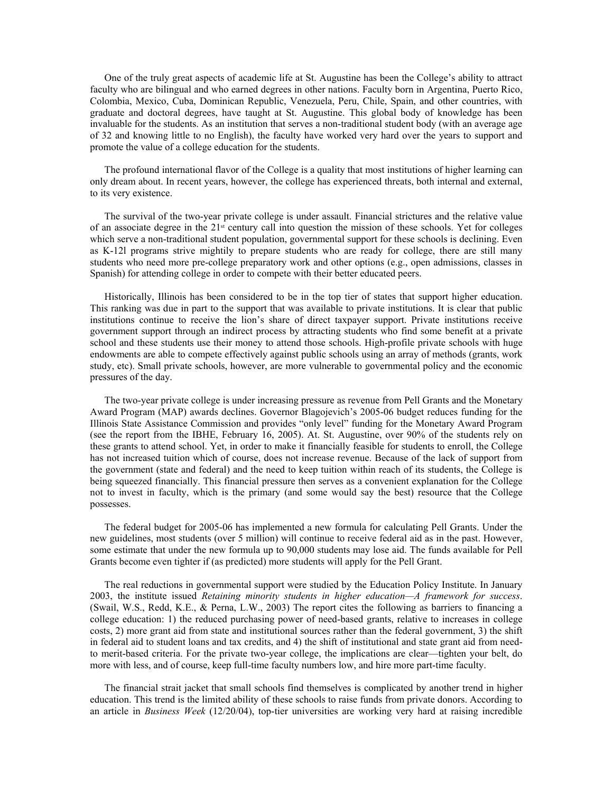One of the truly great aspects of academic life at St. Augustine has been the College's ability to attract faculty who are bilingual and who earned degrees in other nations. Faculty born in Argentina, Puerto Rico, Colombia, Mexico, Cuba, Dominican Republic, Venezuela, Peru, Chile, Spain, and other countries, with graduate and doctoral degrees, have taught at St. Augustine. This global body of knowledge has been invaluable for the students. As an institution that serves a non-traditional student body (with an average age of 32 and knowing little to no English), the faculty have worked very hard over the years to support and promote the value of a college education for the students.

The profound international flavor of the College is a quality that most institutions of higher learning can only dream about. In recent years, however, the college has experienced threats, both internal and external, to its very existence.

The survival of the two-year private college is under assault. Financial strictures and the relative value of an associate degree in the 21st century call into question the mission of these schools. Yet for colleges which serve a non-traditional student population, governmental support for these schools is declining. Even as K-12l programs strive mightily to prepare students who are ready for college, there are still many students who need more pre-college preparatory work and other options (e.g., open admissions, classes in Spanish) for attending college in order to compete with their better educated peers.

Historically, Illinois has been considered to be in the top tier of states that support higher education. This ranking was due in part to the support that was available to private institutions. It is clear that public institutions continue to receive the lion's share of direct taxpayer support. Private institutions receive government support through an indirect process by attracting students who find some benefit at a private school and these students use their money to attend those schools. High-profile private schools with huge endowments are able to compete effectively against public schools using an array of methods (grants, work study, etc). Small private schools, however, are more vulnerable to governmental policy and the economic pressures of the day.

The two-year private college is under increasing pressure as revenue from Pell Grants and the Monetary Award Program (MAP) awards declines. Governor Blagojevich's 2005-06 budget reduces funding for the Illinois State Assistance Commission and provides "only level" funding for the Monetary Award Program (see the report from the IBHE, February 16, 2005). At. St. Augustine, over 90% of the students rely on these grants to attend school. Yet, in order to make it financially feasible for students to enroll, the College has not increased tuition which of course, does not increase revenue. Because of the lack of support from the government (state and federal) and the need to keep tuition within reach of its students, the College is being squeezed financially. This financial pressure then serves as a convenient explanation for the College not to invest in faculty, which is the primary (and some would say the best) resource that the College possesses.

The federal budget for 2005-06 has implemented a new formula for calculating Pell Grants. Under the new guidelines, most students (over 5 million) will continue to receive federal aid as in the past. However, some estimate that under the new formula up to 90,000 students may lose aid. The funds available for Pell Grants become even tighter if (as predicted) more students will apply for the Pell Grant.

The real reductions in governmental support were studied by the Education Policy Institute. In January 2003, the institute issued *Retaining minority students in higher education—A framework for success*. (Swail, W.S., Redd, K.E., & Perna, L.W., 2003) The report cites the following as barriers to financing a college education: 1) the reduced purchasing power of need-based grants, relative to increases in college costs, 2) more grant aid from state and institutional sources rather than the federal government, 3) the shift in federal aid to student loans and tax credits, and 4) the shift of institutional and state grant aid from needto merit-based criteria. For the private two-year college, the implications are clear—tighten your belt, do more with less, and of course, keep full-time faculty numbers low, and hire more part-time faculty.

The financial strait jacket that small schools find themselves is complicated by another trend in higher education. This trend is the limited ability of these schools to raise funds from private donors. According to an article in *Business Week* (12/20/04), top-tier universities are working very hard at raising incredible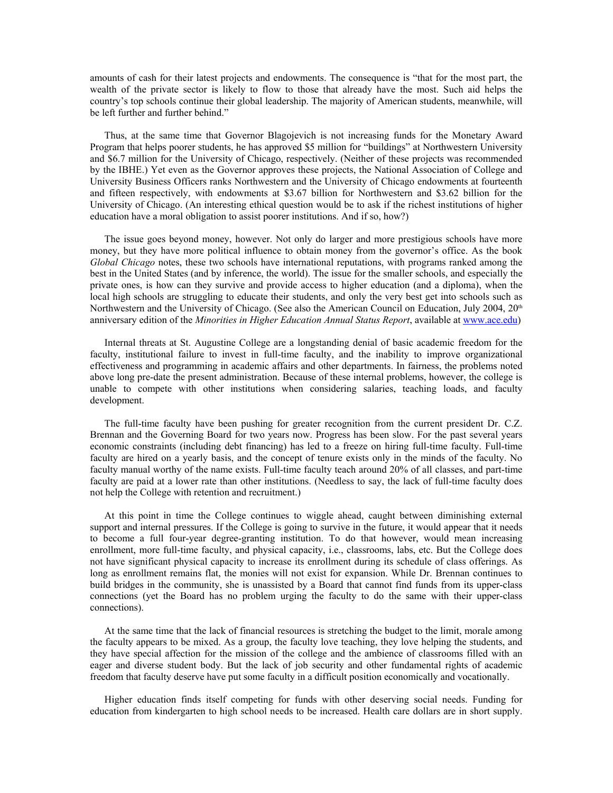amounts of cash for their latest projects and endowments. The consequence is "that for the most part, the wealth of the private sector is likely to flow to those that already have the most. Such aid helps the country's top schools continue their global leadership. The majority of American students, meanwhile, will be left further and further behind."

Thus, at the same time that Governor Blagojevich is not increasing funds for the Monetary Award Program that helps poorer students, he has approved \$5 million for "buildings" at Northwestern University and \$6.7 million for the University of Chicago, respectively. (Neither of these projects was recommended by the IBHE.) Yet even as the Governor approves these projects, the National Association of College and University Business Officers ranks Northwestern and the University of Chicago endowments at fourteenth and fifteen respectively, with endowments at \$3.67 billion for Northwestern and \$3.62 billion for the University of Chicago. (An interesting ethical question would be to ask if the richest institutions of higher education have a moral obligation to assist poorer institutions. And if so, how?)

The issue goes beyond money, however. Not only do larger and more prestigious schools have more money, but they have more political influence to obtain money from the governor's office. As the book *Global Chicago* notes, these two schools have international reputations, with programs ranked among the best in the United States (and by inference, the world). The issue for the smaller schools, and especially the private ones, is how can they survive and provide access to higher education (and a diploma), when the local high schools are struggling to educate their students, and only the very best get into schools such as Northwestern and the University of Chicago. (See also the American Council on Education, July 2004, 20<sup>th</sup> anniversary edition of the *Minorities in Higher Education Annual Status Report*, available at [www.ace.edu](http://www.ace.edu/))

Internal threats at St. Augustine College are a longstanding denial of basic academic freedom for the faculty, institutional failure to invest in full-time faculty, and the inability to improve organizational effectiveness and programming in academic affairs and other departments. In fairness, the problems noted above long pre-date the present administration. Because of these internal problems, however, the college is unable to compete with other institutions when considering salaries, teaching loads, and faculty development.

The full-time faculty have been pushing for greater recognition from the current president Dr. C.Z. Brennan and the Governing Board for two years now. Progress has been slow. For the past several years economic constraints (including debt financing) has led to a freeze on hiring full-time faculty. Full-time faculty are hired on a yearly basis, and the concept of tenure exists only in the minds of the faculty. No faculty manual worthy of the name exists. Full-time faculty teach around 20% of all classes, and part-time faculty are paid at a lower rate than other institutions. (Needless to say, the lack of full-time faculty does not help the College with retention and recruitment.)

At this point in time the College continues to wiggle ahead, caught between diminishing external support and internal pressures. If the College is going to survive in the future, it would appear that it needs to become a full four-year degree-granting institution. To do that however, would mean increasing enrollment, more full-time faculty, and physical capacity, i.e., classrooms, labs, etc. But the College does not have significant physical capacity to increase its enrollment during its schedule of class offerings. As long as enrollment remains flat, the monies will not exist for expansion. While Dr. Brennan continues to build bridges in the community, she is unassisted by a Board that cannot find funds from its upper-class connections (yet the Board has no problem urging the faculty to do the same with their upper-class connections).

At the same time that the lack of financial resources is stretching the budget to the limit, morale among the faculty appears to be mixed. As a group, the faculty love teaching, they love helping the students, and they have special affection for the mission of the college and the ambience of classrooms filled with an eager and diverse student body. But the lack of job security and other fundamental rights of academic freedom that faculty deserve have put some faculty in a difficult position economically and vocationally.

Higher education finds itself competing for funds with other deserving social needs. Funding for education from kindergarten to high school needs to be increased. Health care dollars are in short supply.